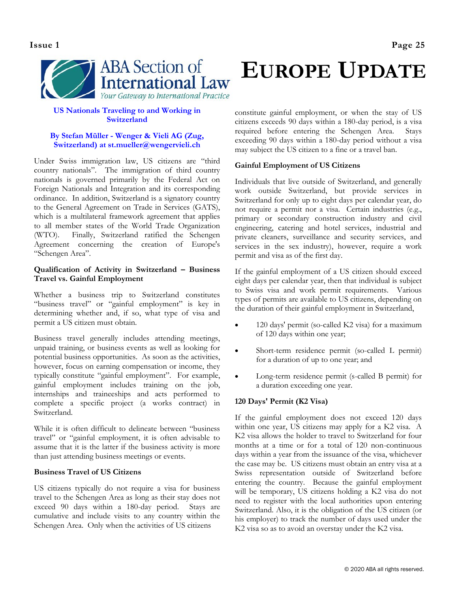**Issue 1 Page 25**



### **US Nationals Traveling to and Working in Switzerland**

### **By Stefan Müller - Wenger & Vieli AG (Zug, Switzerland) at st.mueller@wengervieli.ch**

Under Swiss immigration law, US citizens are "third country nationals". The immigration of third country nationals is governed primarily by the Federal Act on Foreign Nationals and Integration and its corresponding ordinance. In addition, Switzerland is a signatory country to the General Agreement on Trade in Services (GATS), which is a multilateral framework agreement that applies to all member states of the World Trade Organization (WTO). Finally, Switzerland ratified the Schengen Agreement concerning the creation of Europe's "Schengen Area".

# **Qualification of Activity in Switzerland – Business Travel vs. Gainful Employment**

Whether a business trip to Switzerland constitutes "business travel" or "gainful employment" is key in determining whether and, if so, what type of visa and permit a US citizen must obtain.

Business travel generally includes attending meetings, unpaid training, or business events as well as looking for potential business opportunities. As soon as the activities, however, focus on earning compensation or income, they typically constitute "gainful employment". For example, gainful employment includes training on the job, internships and traineeships and acts performed to complete a specific project (a works contract) in Switzerland.

While it is often difficult to delineate between "business travel" or "gainful employment, it is often advisable to assume that it is the latter if the business activity is more than just attending business meetings or events.

# **Business Travel of US Citizens**

US citizens typically do not require a visa for business travel to the Schengen Area as long as their stay does not exceed 90 days within a 180-day period. Stays are cumulative and include visits to any country within the Schengen Area. Only when the activities of US citizens

constitute gainful employment, or when the stay of US citizens exceeds 90 days within a 180-day period, is a visa required before entering the Schengen Area. Stays exceeding 90 days within a 180-day period without a visa may subject the US citizen to a fine or a travel ban.

**EUROPE UPDATE**

### **Gainful Employment of US Citizens**

Individuals that live outside of Switzerland, and generally work outside Switzerland, but provide services in Switzerland for only up to eight days per calendar year, do not require a permit nor a visa. Certain industries (e.g., primary or secondary construction industry and civil engineering, catering and hotel services, industrial and private cleaners, surveillance and security services, and services in the sex industry), however, require a work permit and visa as of the first day.

If the gainful employment of a US citizen should exceed eight days per calendar year, then that individual is subject to Swiss visa and work permit requirements. Various types of permits are available to US citizens, depending on the duration of their gainful employment in Switzerland,

- 120 days' permit (so-called K2 visa) for a maximum of 120 days within one year;
- Short-term residence permit (so-called L permit) for a duration of up to one year; and
- Long-term residence permit (s-called B permit) for a duration exceeding one year.

# **120 Days' Permit (K2 Visa)**

If the gainful employment does not exceed 120 days within one year, US citizens may apply for a K2 visa. A K2 visa allows the holder to travel to Switzerland for four months at a time or for a total of 120 non-continuous days within a year from the issuance of the visa, whichever the case may be. US citizens must obtain an entry visa at a Swiss representation outside of Switzerland before entering the country. Because the gainful employment will be temporary, US citizens holding a K2 visa do not need to register with the local authorities upon entering Switzerland. Also, it is the obligation of the US citizen (or his employer) to track the number of days used under the K2 visa so as to avoid an overstay under the K2 visa.